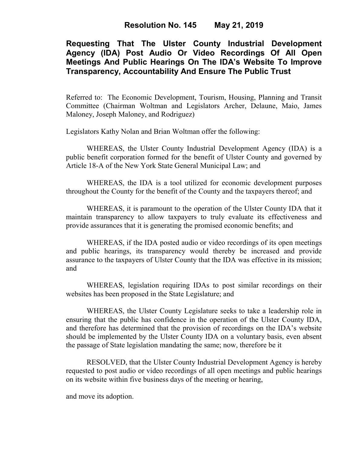## **Requesting That The Ulster County Industrial Development Agency (IDA) Post Audio Or Video Recordings Of All Open Meetings And Public Hearings On The IDA's Website To Improve Transparency, Accountability And Ensure The Public Trust**

Referred to: The Economic Development, Tourism, Housing, Planning and Transit Committee (Chairman Woltman and Legislators Archer, Delaune, Maio, James Maloney, Joseph Maloney, and Rodriguez)

Legislators Kathy Nolan and Brian Woltman offer the following:

WHEREAS, the Ulster County Industrial Development Agency (IDA) is a public benefit corporation formed for the benefit of Ulster County and governed by Article 18-A of the New York State General Municipal Law; and

WHEREAS, the IDA is a tool utilized for economic development purposes throughout the County for the benefit of the County and the taxpayers thereof; and

WHEREAS, it is paramount to the operation of the Ulster County IDA that it maintain transparency to allow taxpayers to truly evaluate its effectiveness and provide assurances that it is generating the promised economic benefits; and

WHEREAS, if the IDA posted audio or video recordings of its open meetings and public hearings, its transparency would thereby be increased and provide assurance to the taxpayers of Ulster County that the IDA was effective in its mission; and

WHEREAS, legislation requiring IDAs to post similar recordings on their websites has been proposed in the State Legislature; and

WHEREAS, the Ulster County Legislature seeks to take a leadership role in ensuring that the public has confidence in the operation of the Ulster County IDA, and therefore has determined that the provision of recordings on the IDA's website should be implemented by the Ulster County IDA on a voluntary basis, even absent the passage of State legislation mandating the same; now, therefore be it

RESOLVED, that the Ulster County Industrial Development Agency is hereby requested to post audio or video recordings of all open meetings and public hearings on its website within five business days of the meeting or hearing,

and move its adoption.